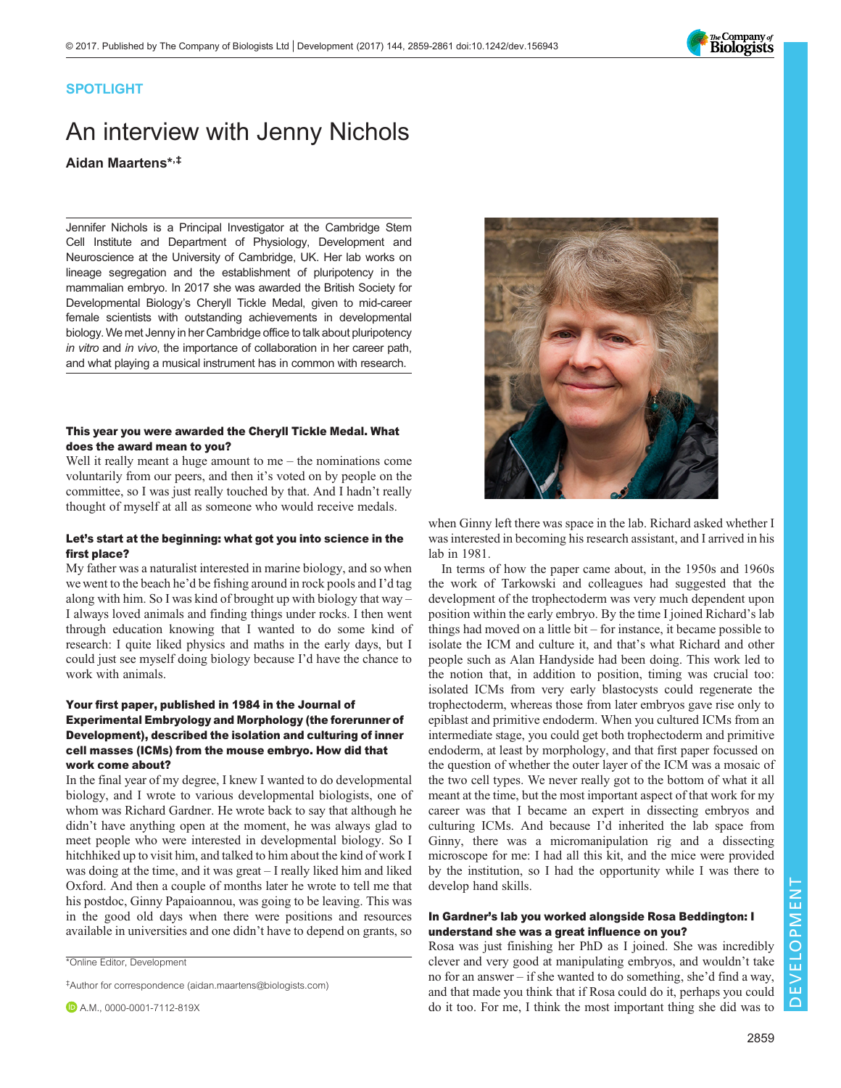

### SPOTLIGHT

# An interview with Jenny Nichols Aidan Maartens\*,‡

Jennifer Nichols is a Principal Investigator at the Cambridge Stem Cell Institute and Department of Physiology, Development and Neuroscience at the University of Cambridge, UK. Her lab works on lineage segregation and the establishment of pluripotency in the mammalian embryo. In 2017 she was awarded the British Society for Developmental Biology's Cheryll Tickle Medal, given to mid-career female scientists with outstanding achievements in developmental biology. We met Jenny in her Cambridge office to talk about pluripotency in vitro and in vivo, the importance of collaboration in her career path, and what playing a musical instrument has in common with research.

#### This year you were awarded the Cheryll Tickle Medal. What does the award mean to you?

Well it really meant a huge amount to me – the nominations come voluntarily from our peers, and then it's voted on by people on the committee, so I was just really touched by that. And I hadn't really thought of myself at all as someone who would receive medals.

#### Let's start at the beginning: what got you into science in the first place?

My father was a naturalist interested in marine biology, and so when we went to the beach he'd be fishing around in rock pools and I'd tag along with him. So I was kind of brought up with biology that way – I always loved animals and finding things under rocks. I then went through education knowing that I wanted to do some kind of research: I quite liked physics and maths in the early days, but I could just see myself doing biology because I'd have the chance to work with animals.

#### Your first paper, published in 1984 in the Journal of Experimental Embryology and Morphology (the forerunner of Development), described the isolation and culturing of inner cell masses (ICMs) from the mouse embryo. How did that work come about?

In the final year of my degree, I knew I wanted to do developmental biology, and I wrote to various developmental biologists, one of whom was Richard Gardner. He wrote back to say that although he didn't have anything open at the moment, he was always glad to meet people who were interested in developmental biology. So I hitchhiked up to visit him, and talked to him about the kind of work I was doing at the time, and it was great – I really liked him and liked Oxford. And then a couple of months later he wrote to tell me that his postdoc, Ginny Papaioannou, was going to be leaving. This was in the good old days when there were positions and resources available in universities and one didn't have to depend on grants, so

‡Author for correspondence ([aidan.maartens@biologists.com](mailto:aidan.maartens@biologists.com))



when Ginny left there was space in the lab. Richard asked whether I was interested in becoming his research assistant, and I arrived in his lab in 1981.

In terms of how the paper came about, in the 1950s and 1960s the work of Tarkowski and colleagues had suggested that the development of the trophectoderm was very much dependent upon position within the early embryo. By the time I joined Richard's lab things had moved on a little bit – for instance, it became possible to isolate the ICM and culture it, and that's what Richard and other people such as Alan Handyside had been doing. This work led to the notion that, in addition to position, timing was crucial too: isolated ICMs from very early blastocysts could regenerate the trophectoderm, whereas those from later embryos gave rise only to epiblast and primitive endoderm. When you cultured ICMs from an intermediate stage, you could get both trophectoderm and primitive endoderm, at least by morphology, and that first paper focussed on the question of whether the outer layer of the ICM was a mosaic of the two cell types. We never really got to the bottom of what it all meant at the time, but the most important aspect of that work for my career was that I became an expert in dissecting embryos and culturing ICMs. And because I'd inherited the lab space from Ginny, there was a micromanipulation rig and a dissecting microscope for me: I had all this kit, and the mice were provided by the institution, so I had the opportunity while I was there to develop hand skills.

#### In Gardner's lab you worked alongside Rosa Beddington: I understand she was a great influence on you?

Rosa was just finishing her PhD as I joined. She was incredibly clever and very good at manipulating embryos, and wouldn't take no for an answer – if she wanted to do something, she'd find a way, and that made you think that if Rosa could do it, perhaps you could do it too. For me, I think the most important thing she did was to

<sup>\*</sup>Online Editor, Development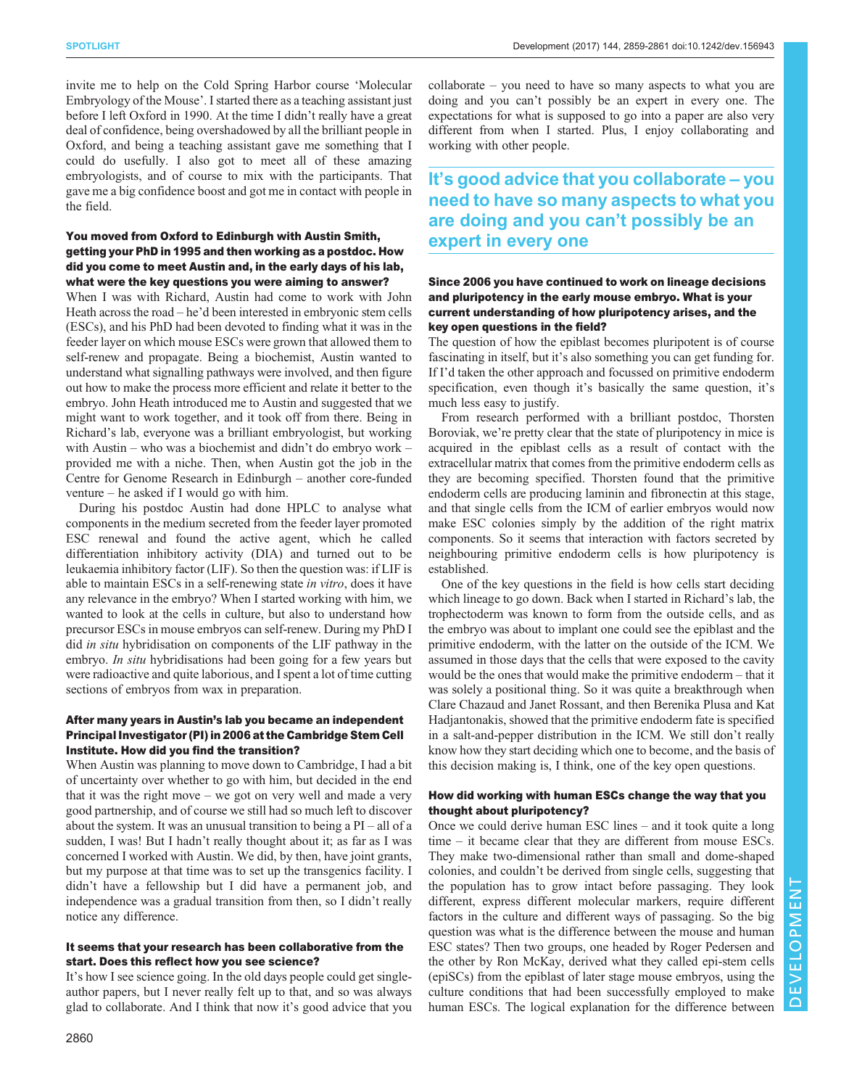invite me to help on the Cold Spring Harbor course 'Molecular Embryology of the Mouse'. I started there as a teaching assistant just before I left Oxford in 1990. At the time I didn't really have a great deal of confidence, being overshadowed by all the brilliant people in Oxford, and being a teaching assistant gave me something that I could do usefully. I also got to meet all of these amazing embryologists, and of course to mix with the participants. That gave me a big confidence boost and got me in contact with people in the field.

#### You moved from Oxford to Edinburgh with Austin Smith, getting your PhD in 1995 and then working as a postdoc. How did you come to meet Austin and, in the early days of his lab, what were the key questions you were aiming to answer?

When I was with Richard, Austin had come to work with John Heath across the road – he'd been interested in embryonic stem cells (ESCs), and his PhD had been devoted to finding what it was in the feeder layer on which mouse ESCs were grown that allowed them to self-renew and propagate. Being a biochemist, Austin wanted to understand what signalling pathways were involved, and then figure out how to make the process more efficient and relate it better to the embryo. John Heath introduced me to Austin and suggested that we might want to work together, and it took off from there. Being in Richard's lab, everyone was a brilliant embryologist, but working with Austin – who was a biochemist and didn't do embryo work – provided me with a niche. Then, when Austin got the job in the Centre for Genome Research in Edinburgh – another core-funded venture – he asked if I would go with him.

During his postdoc Austin had done HPLC to analyse what components in the medium secreted from the feeder layer promoted ESC renewal and found the active agent, which he called differentiation inhibitory activity (DIA) and turned out to be leukaemia inhibitory factor (LIF). So then the question was: if LIF is able to maintain ESCs in a self-renewing state in vitro, does it have any relevance in the embryo? When I started working with him, we wanted to look at the cells in culture, but also to understand how precursor ESCs in mouse embryos can self-renew. During my PhD I did *in situ* hybridisation on components of the LIF pathway in the embryo. In situ hybridisations had been going for a few years but were radioactive and quite laborious, and I spent a lot of time cutting sections of embryos from wax in preparation.

#### After many years in Austin's lab you became an independent Principal Investigator (PI) in 2006 at the Cambridge Stem Cell Institute. How did you find the transition?

When Austin was planning to move down to Cambridge, I had a bit of uncertainty over whether to go with him, but decided in the end that it was the right move – we got on very well and made a very good partnership, and of course we still had so much left to discover about the system. It was an unusual transition to being a  $PI - all$  of a sudden, I was! But I hadn't really thought about it; as far as I was concerned I worked with Austin. We did, by then, have joint grants, but my purpose at that time was to set up the transgenics facility. I didn't have a fellowship but I did have a permanent job, and independence was a gradual transition from then, so I didn't really notice any difference.

#### It seems that your research has been collaborative from the start. Does this reflect how you see science?

It's how I see science going. In the old days people could get singleauthor papers, but I never really felt up to that, and so was always glad to collaborate. And I think that now it's good advice that you collaborate – you need to have so many aspects to what you are doing and you can't possibly be an expert in every one. The expectations for what is supposed to go into a paper are also very different from when I started. Plus, I enjoy collaborating and working with other people.

## It's good advice that you collaborate – you need to have so many aspects to what you are doing and you can't possibly be an expert in every one

#### Since 2006 you have continued to work on lineage decisions and pluripotency in the early mouse embryo. What is your current understanding of how pluripotency arises, and the key open questions in the field?

The question of how the epiblast becomes pluripotent is of course fascinating in itself, but it's also something you can get funding for. If I'd taken the other approach and focussed on primitive endoderm specification, even though it's basically the same question, it's much less easy to justify.

From research performed with a brilliant postdoc, Thorsten Boroviak, we're pretty clear that the state of pluripotency in mice is acquired in the epiblast cells as a result of contact with the extracellular matrix that comes from the primitive endoderm cells as they are becoming specified. Thorsten found that the primitive endoderm cells are producing laminin and fibronectin at this stage, and that single cells from the ICM of earlier embryos would now make ESC colonies simply by the addition of the right matrix components. So it seems that interaction with factors secreted by neighbouring primitive endoderm cells is how pluripotency is established.

One of the key questions in the field is how cells start deciding which lineage to go down. Back when I started in Richard's lab, the trophectoderm was known to form from the outside cells, and as the embryo was about to implant one could see the epiblast and the primitive endoderm, with the latter on the outside of the ICM. We assumed in those days that the cells that were exposed to the cavity would be the ones that would make the primitive endoderm – that it was solely a positional thing. So it was quite a breakthrough when Clare Chazaud and Janet Rossant, and then Berenika Plusa and Kat Hadjantonakis, showed that the primitive endoderm fate is specified in a salt-and-pepper distribution in the ICM. We still don't really know how they start deciding which one to become, and the basis of this decision making is, I think, one of the key open questions.

#### How did working with human ESCs change the way that you thought about pluripotency?

Once we could derive human ESC lines – and it took quite a long time – it became clear that they are different from mouse ESCs. They make two-dimensional rather than small and dome-shaped colonies, and couldn't be derived from single cells, suggesting that the population has to grow intact before passaging. They look different, express different molecular markers, require different factors in the culture and different ways of passaging. So the big question was what is the difference between the mouse and human ESC states? Then two groups, one headed by Roger Pedersen and the other by Ron McKay, derived what they called epi-stem cells (epiSCs) from the epiblast of later stage mouse embryos, using the culture conditions that had been successfully employed to make human ESCs. The logical explanation for the difference between